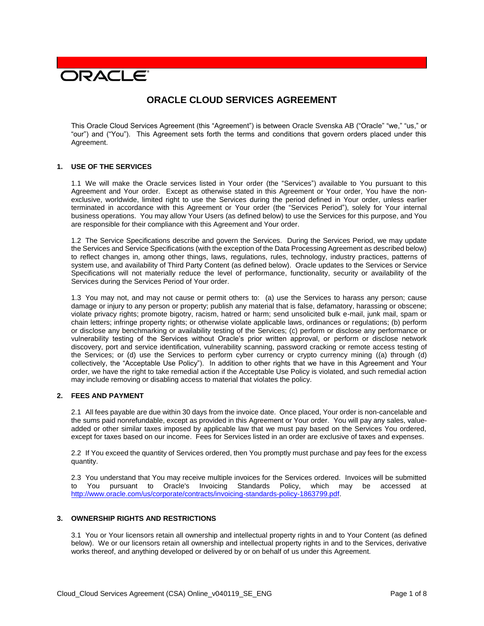# **DRACLE**

# **ORACLE CLOUD SERVICES AGREEMENT**

This Oracle Cloud Services Agreement (this "Agreement") is between Oracle Svenska AB ("Oracle" "we," "us," or "our") and ("You"). This Agreement sets forth the terms and conditions that govern orders placed under this Agreement.

#### **1. USE OF THE SERVICES**

1.1 We will make the Oracle services listed in Your order (the "Services") available to You pursuant to this Agreement and Your order. Except as otherwise stated in this Agreement or Your order, You have the nonexclusive, worldwide, limited right to use the Services during the period defined in Your order, unless earlier terminated in accordance with this Agreement or Your order (the "Services Period"), solely for Your internal business operations. You may allow Your Users (as defined below) to use the Services for this purpose, and You are responsible for their compliance with this Agreement and Your order.

1.2 The Service Specifications describe and govern the Services. During the Services Period, we may update the Services and Service Specifications (with the exception of the Data Processing Agreement as described below) to reflect changes in, among other things, laws, regulations, rules, technology, industry practices, patterns of system use, and availability of Third Party Content (as defined below). Oracle updates to the Services or Service Specifications will not materially reduce the level of performance, functionality, security or availability of the Services during the Services Period of Your order.

1.3 You may not, and may not cause or permit others to: (a) use the Services to harass any person; cause damage or injury to any person or property; publish any material that is false, defamatory, harassing or obscene; violate privacy rights; promote bigotry, racism, hatred or harm; send unsolicited bulk e-mail, junk mail, spam or chain letters; infringe property rights; or otherwise violate applicable laws, ordinances or regulations; (b) perform or disclose any benchmarking or availability testing of the Services; (c) perform or disclose any performance or vulnerability testing of the Services without Oracle's prior written approval, or perform or disclose network discovery, port and service identification, vulnerability scanning, password cracking or remote access testing of the Services; or (d) use the Services to perform cyber currency or crypto currency mining ((a) through (d) collectively, the "Acceptable Use Policy"). In addition to other rights that we have in this Agreement and Your order, we have the right to take remedial action if the Acceptable Use Policy is violated, and such remedial action may include removing or disabling access to material that violates the policy.

# **2. FEES AND PAYMENT**

2.1 All fees payable are due within 30 days from the invoice date. Once placed, Your order is non-cancelable and the sums paid nonrefundable, except as provided in this Agreement or Your order. You will pay any sales, valueadded or other similar taxes imposed by applicable law that we must pay based on the Services You ordered, except for taxes based on our income. Fees for Services listed in an order are exclusive of taxes and expenses.

2.2 If You exceed the quantity of Services ordered, then You promptly must purchase and pay fees for the excess quantity.

2.3 You understand that You may receive multiple invoices for the Services ordered. Invoices will be submitted to You pursuant to Oracle's Invoicing Standards Policy, which may be accessed at [http://www.oracle.com/us/corporate/contracts/invoicing-standards-policy-1863799.pdf.](http://www.oracle.com/us/corporate/contracts/invoicing-standards-policy-1863799.pdf)

#### **3. OWNERSHIP RIGHTS AND RESTRICTIONS**

3.1 You or Your licensors retain all ownership and intellectual property rights in and to Your Content (as defined below). We or our licensors retain all ownership and intellectual property rights in and to the Services, derivative works thereof, and anything developed or delivered by or on behalf of us under this Agreement.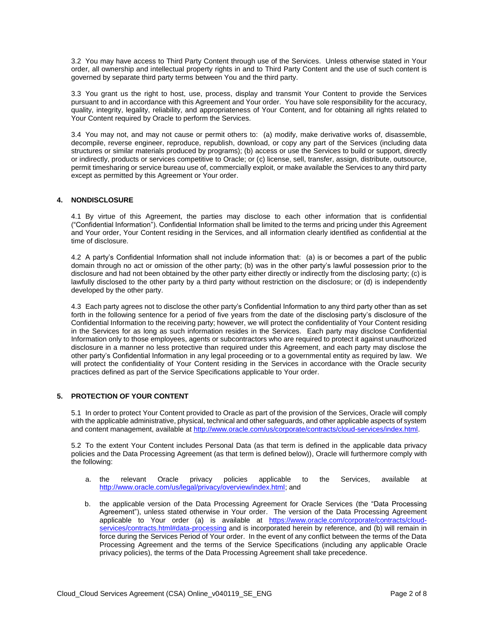3.2 You may have access to Third Party Content through use of the Services. Unless otherwise stated in Your order, all ownership and intellectual property rights in and to Third Party Content and the use of such content is governed by separate third party terms between You and the third party.

3.3 You grant us the right to host, use, process, display and transmit Your Content to provide the Services pursuant to and in accordance with this Agreement and Your order. You have sole responsibility for the accuracy, quality, integrity, legality, reliability, and appropriateness of Your Content, and for obtaining all rights related to Your Content required by Oracle to perform the Services.

3.4 You may not, and may not cause or permit others to: (a) modify, make derivative works of, disassemble, decompile, reverse engineer, reproduce, republish, download, or copy any part of the Services (including data structures or similar materials produced by programs); (b) access or use the Services to build or support, directly or indirectly, products or services competitive to Oracle; or (c) license, sell, transfer, assign, distribute, outsource, permit timesharing or service bureau use of, commercially exploit, or make available the Services to any third party except as permitted by this Agreement or Your order.

# **4. NONDISCLOSURE**

4.1 By virtue of this Agreement, the parties may disclose to each other information that is confidential ("Confidential Information"). Confidential Information shall be limited to the terms and pricing under this Agreement and Your order, Your Content residing in the Services, and all information clearly identified as confidential at the time of disclosure.

4.2 A party's Confidential Information shall not include information that: (a) is or becomes a part of the public domain through no act or omission of the other party; (b) was in the other party's lawful possession prior to the disclosure and had not been obtained by the other party either directly or indirectly from the disclosing party; (c) is lawfully disclosed to the other party by a third party without restriction on the disclosure; or (d) is independently developed by the other party.

4.3 Each party agrees not to disclose the other party's Confidential Information to any third party other than as set forth in the following sentence for a period of five years from the date of the disclosing party's disclosure of the Confidential Information to the receiving party; however, we will protect the confidentiality of Your Content residing in the Services for as long as such information resides in the Services. Each party may disclose Confidential Information only to those employees, agents or subcontractors who are required to protect it against unauthorized disclosure in a manner no less protective than required under this Agreement, and each party may disclose the other party's Confidential Information in any legal proceeding or to a governmental entity as required by law. We will protect the confidentiality of Your Content residing in the Services in accordance with the Oracle security practices defined as part of the Service Specifications applicable to Your order.

# **5. PROTECTION OF YOUR CONTENT**

5.1 In order to protect Your Content provided to Oracle as part of the provision of the Services, Oracle will comply with the applicable administrative, physical, technical and other safeguards, and other applicable aspects of system and content management, available at [http://www.oracle.com/us/corporate/contracts/cloud-services/index.html.](http://www.oracle.com/us/corporate/contracts/cloud-services/index.html)

5.2 To the extent Your Content includes Personal Data (as that term is defined in the applicable data privacy policies and the Data Processing Agreement (as that term is defined below)), Oracle will furthermore comply with the following:

- a. the relevant Oracle privacy policies applicable to the Services, available at [http://www.oracle.com/us/legal/privacy/overview/index.html;](http://www.oracle.com/us/legal/privacy/overview/index.html) and
- b. the applicable version of the Data Processing Agreement for Oracle Services (the "Data Processing Agreement"), unless stated otherwise in Your order. The version of the Data Processing Agreement applicable to Your order (a) is available at [https://www.oracle.com/corporate/contracts/cloud](https://www.oracle.com/corporate/contracts/cloud-services/contracts.html#data-processing)[services/contracts.html#data-processing](https://www.oracle.com/corporate/contracts/cloud-services/contracts.html#data-processing) and is incorporated herein by reference, and (b) will remain in force during the Services Period of Your order. In the event of any conflict between the terms of the Data Processing Agreement and the terms of the Service Specifications (including any applicable Oracle privacy policies), the terms of the Data Processing Agreement shall take precedence.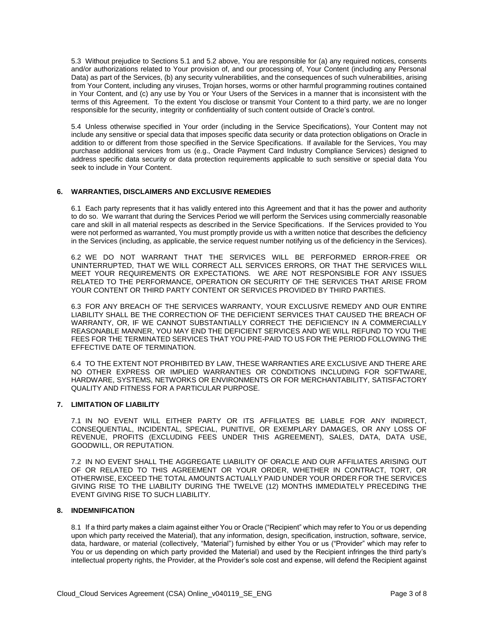5.3 Without prejudice to Sections 5.1 and 5.2 above, You are responsible for (a) any required notices, consents and/or authorizations related to Your provision of, and our processing of, Your Content (including any Personal Data) as part of the Services, (b) any security vulnerabilities, and the consequences of such vulnerabilities, arising from Your Content, including any viruses, Trojan horses, worms or other harmful programming routines contained in Your Content, and (c) any use by You or Your Users of the Services in a manner that is inconsistent with the terms of this Agreement. To the extent You disclose or transmit Your Content to a third party, we are no longer responsible for the security, integrity or confidentiality of such content outside of Oracle's control.

5.4 Unless otherwise specified in Your order (including in the Service Specifications), Your Content may not include any sensitive or special data that imposes specific data security or data protection obligations on Oracle in addition to or different from those specified in the Service Specifications. If available for the Services, You may purchase additional services from us (e.g., Oracle Payment Card Industry Compliance Services) designed to address specific data security or data protection requirements applicable to such sensitive or special data You seek to include in Your Content.

#### **6. WARRANTIES, DISCLAIMERS AND EXCLUSIVE REMEDIES**

6.1 Each party represents that it has validly entered into this Agreement and that it has the power and authority to do so. We warrant that during the Services Period we will perform the Services using commercially reasonable care and skill in all material respects as described in the Service Specifications. If the Services provided to You were not performed as warranted, You must promptly provide us with a written notice that describes the deficiency in the Services (including, as applicable, the service request number notifying us of the deficiency in the Services).

6.2 WE DO NOT WARRANT THAT THE SERVICES WILL BE PERFORMED ERROR-FREE OR UNINTERRUPTED, THAT WE WILL CORRECT ALL SERVICES ERRORS, OR THAT THE SERVICES WILL MEET YOUR REQUIREMENTS OR EXPECTATIONS. WE ARE NOT RESPONSIBLE FOR ANY ISSUES RELATED TO THE PERFORMANCE, OPERATION OR SECURITY OF THE SERVICES THAT ARISE FROM YOUR CONTENT OR THIRD PARTY CONTENT OR SERVICES PROVIDED BY THIRD PARTIES.

6.3 FOR ANY BREACH OF THE SERVICES WARRANTY, YOUR EXCLUSIVE REMEDY AND OUR ENTIRE LIABILITY SHALL BE THE CORRECTION OF THE DEFICIENT SERVICES THAT CAUSED THE BREACH OF WARRANTY, OR, IF WE CANNOT SUBSTANTIALLY CORRECT THE DEFICIENCY IN A COMMERCIALLY REASONABLE MANNER, YOU MAY END THE DEFICIENT SERVICES AND WE WILL REFUND TO YOU THE FEES FOR THE TERMINATED SERVICES THAT YOU PRE-PAID TO US FOR THE PERIOD FOLLOWING THE EFFECTIVE DATE OF TERMINATION.

6.4 TO THE EXTENT NOT PROHIBITED BY LAW, THESE WARRANTIES ARE EXCLUSIVE AND THERE ARE NO OTHER EXPRESS OR IMPLIED WARRANTIES OR CONDITIONS INCLUDING FOR SOFTWARE, HARDWARE, SYSTEMS, NETWORKS OR ENVIRONMENTS OR FOR MERCHANTABILITY, SATISFACTORY QUALITY AND FITNESS FOR A PARTICULAR PURPOSE.

#### **7. LIMITATION OF LIABILITY**

7.1 IN NO EVENT WILL EITHER PARTY OR ITS AFFILIATES BE LIABLE FOR ANY INDIRECT, CONSEQUENTIAL, INCIDENTAL, SPECIAL, PUNITIVE, OR EXEMPLARY DAMAGES, OR ANY LOSS OF REVENUE, PROFITS (EXCLUDING FEES UNDER THIS AGREEMENT), SALES, DATA, DATA USE, GOODWILL, OR REPUTATION.

7.2 IN NO EVENT SHALL THE AGGREGATE LIABILITY OF ORACLE AND OUR AFFILIATES ARISING OUT OF OR RELATED TO THIS AGREEMENT OR YOUR ORDER, WHETHER IN CONTRACT, TORT, OR OTHERWISE, EXCEED THE TOTAL AMOUNTS ACTUALLY PAID UNDER YOUR ORDER FOR THE SERVICES GIVING RISE TO THE LIABILITY DURING THE TWELVE (12) MONTHS IMMEDIATELY PRECEDING THE EVENT GIVING RISE TO SUCH LIABILITY.

#### **8. INDEMNIFICATION**

8.1 If a third party makes a claim against either You or Oracle ("Recipient" which may refer to You or us depending upon which party received the Material), that any information, design, specification, instruction, software, service, data, hardware, or material (collectively, "Material") furnished by either You or us ("Provider" which may refer to You or us depending on which party provided the Material) and used by the Recipient infringes the third party's intellectual property rights, the Provider, at the Provider's sole cost and expense, will defend the Recipient against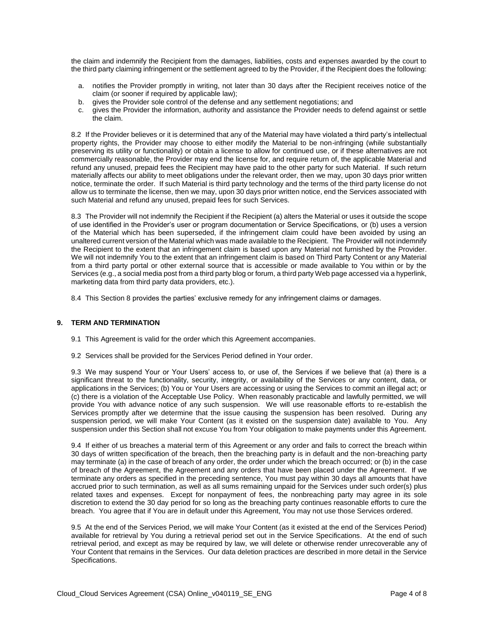the claim and indemnify the Recipient from the damages, liabilities, costs and expenses awarded by the court to the third party claiming infringement or the settlement agreed to by the Provider, if the Recipient does the following:

- a. notifies the Provider promptly in writing, not later than 30 days after the Recipient receives notice of the claim (or sooner if required by applicable law);
- b. gives the Provider sole control of the defense and any settlement negotiations; and
- c. gives the Provider the information, authority and assistance the Provider needs to defend against or settle the claim.

8.2 If the Provider believes or it is determined that any of the Material may have violated a third party's intellectual property rights, the Provider may choose to either modify the Material to be non-infringing (while substantially preserving its utility or functionality) or obtain a license to allow for continued use, or if these alternatives are not commercially reasonable, the Provider may end the license for, and require return of, the applicable Material and refund any unused, prepaid fees the Recipient may have paid to the other party for such Material. If such return materially affects our ability to meet obligations under the relevant order, then we may, upon 30 days prior written notice, terminate the order. If such Material is third party technology and the terms of the third party license do not allow us to terminate the license, then we may, upon 30 days prior written notice, end the Services associated with such Material and refund any unused, prepaid fees for such Services.

8.3 The Provider will not indemnify the Recipient if the Recipient (a) alters the Material or uses it outside the scope of use identified in the Provider's user or program documentation or Service Specifications, or (b) uses a version of the Material which has been superseded, if the infringement claim could have been avoided by using an unaltered current version of the Material which was made available to the Recipient. The Provider will not indemnify the Recipient to the extent that an infringement claim is based upon any Material not furnished by the Provider. We will not indemnify You to the extent that an infringement claim is based on Third Party Content or any Material from a third party portal or other external source that is accessible or made available to You within or by the Services (e.g., a social media post from a third party blog or forum, a third party Web page accessed via a hyperlink, marketing data from third party data providers, etc.).

8.4 This Section 8 provides the parties' exclusive remedy for any infringement claims or damages.

#### **9. TERM AND TERMINATION**

- 9.1 This Agreement is valid for the order which this Agreement accompanies.
- 9.2 Services shall be provided for the Services Period defined in Your order.

9.3 We may suspend Your or Your Users' access to, or use of, the Services if we believe that (a) there is a significant threat to the functionality, security, integrity, or availability of the Services or any content, data, or applications in the Services; (b) You or Your Users are accessing or using the Services to commit an illegal act; or (c) there is a violation of the Acceptable Use Policy. When reasonably practicable and lawfully permitted, we will provide You with advance notice of any such suspension. We will use reasonable efforts to re-establish the Services promptly after we determine that the issue causing the suspension has been resolved. During any suspension period, we will make Your Content (as it existed on the suspension date) available to You. Any suspension under this Section shall not excuse You from Your obligation to make payments under this Agreement.

9.4 If either of us breaches a material term of this Agreement or any order and fails to correct the breach within 30 days of written specification of the breach, then the breaching party is in default and the non-breaching party may terminate (a) in the case of breach of any order, the order under which the breach occurred; or (b) in the case of breach of the Agreement, the Agreement and any orders that have been placed under the Agreement. If we terminate any orders as specified in the preceding sentence, You must pay within 30 days all amounts that have accrued prior to such termination, as well as all sums remaining unpaid for the Services under such order(s) plus related taxes and expenses. Except for nonpayment of fees, the nonbreaching party may agree in its sole discretion to extend the 30 day period for so long as the breaching party continues reasonable efforts to cure the breach. You agree that if You are in default under this Agreement, You may not use those Services ordered.

9.5 At the end of the Services Period, we will make Your Content (as it existed at the end of the Services Period) available for retrieval by You during a retrieval period set out in the Service Specifications. At the end of such retrieval period, and except as may be required by law, we will delete or otherwise render unrecoverable any of Your Content that remains in the Services. Our data deletion practices are described in more detail in the Service Specifications.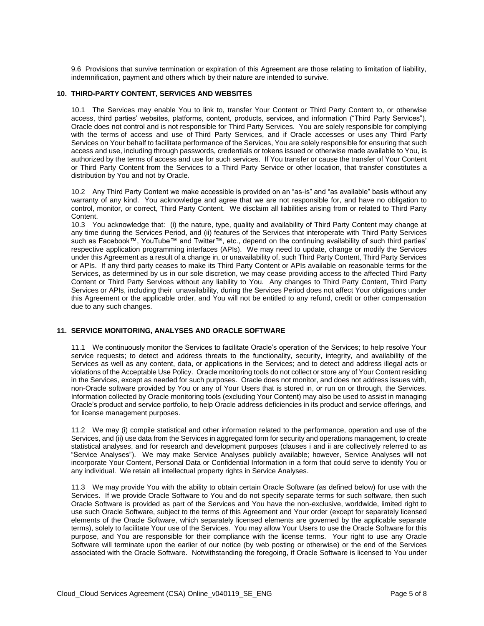9.6 Provisions that survive termination or expiration of this Agreement are those relating to limitation of liability, indemnification, payment and others which by their nature are intended to survive.

#### **10. THIRD-PARTY CONTENT, SERVICES AND WEBSITES**

10.1 The Services may enable You to link to, transfer Your Content or Third Party Content to, or otherwise access, third parties' websites, platforms, content, products, services, and information ("Third Party Services"). Oracle does not control and is not responsible for Third Party Services. You are solely responsible for complying with the terms of access and use of Third Party Services, and if Oracle accesses or uses any Third Party Services on Your behalf to facilitate performance of the Services, You are solely responsible for ensuring that such access and use, including through passwords, credentials or tokens issued or otherwise made available to You, is authorized by the terms of access and use for such services. If You transfer or cause the transfer of Your Content or Third Party Content from the Services to a Third Party Service or other location, that transfer constitutes a distribution by You and not by Oracle.

10.2 Any Third Party Content we make accessible is provided on an "as-is" and "as available" basis without any warranty of any kind. You acknowledge and agree that we are not responsible for, and have no obligation to control, monitor, or correct, Third Party Content. We disclaim all liabilities arising from or related to Third Party Content.

10.3 You acknowledge that: (i) the nature, type, quality and availability of Third Party Content may change at any time during the Services Period, and (ii) features of the Services that interoperate with Third Party Services such as Facebook™, YouTube™ and Twitter™, etc., depend on the continuing availability of such third parties' respective application programming interfaces (APIs). We may need to update, change or modify the Services under this Agreement as a result of a change in, or unavailability of, such Third Party Content, Third Party Services or APIs. If any third party ceases to make its Third Party Content or APIs available on reasonable terms for the Services, as determined by us in our sole discretion, we may cease providing access to the affected Third Party Content or Third Party Services without any liability to You. Any changes to Third Party Content, Third Party Services or APIs, including their unavailability, during the Services Period does not affect Your obligations under this Agreement or the applicable order, and You will not be entitled to any refund, credit or other compensation due to any such changes.

#### **11. SERVICE MONITORING, ANALYSES AND ORACLE SOFTWARE**

11.1 We continuously monitor the Services to facilitate Oracle's operation of the Services; to help resolve Your service requests; to detect and address threats to the functionality, security, integrity, and availability of the Services as well as any content, data, or applications in the Services; and to detect and address illegal acts or violations of the Acceptable Use Policy. Oracle monitoring tools do not collect or store any of Your Content residing in the Services, except as needed for such purposes. Oracle does not monitor, and does not address issues with, non-Oracle software provided by You or any of Your Users that is stored in, or run on or through, the Services. Information collected by Oracle monitoring tools (excluding Your Content) may also be used to assist in managing Oracle's product and service portfolio, to help Oracle address deficiencies in its product and service offerings, and for license management purposes.

11.2 We may (i) compile statistical and other information related to the performance, operation and use of the Services, and (ii) use data from the Services in aggregated form for security and operations management, to create statistical analyses, and for research and development purposes (clauses i and ii are collectively referred to as "Service Analyses"). We may make Service Analyses publicly available; however, Service Analyses will not incorporate Your Content, Personal Data or Confidential Information in a form that could serve to identify You or any individual. We retain all intellectual property rights in Service Analyses.

11.3 We may provide You with the ability to obtain certain Oracle Software (as defined below) for use with the Services. If we provide Oracle Software to You and do not specify separate terms for such software, then such Oracle Software is provided as part of the Services and You have the non-exclusive, worldwide, limited right to use such Oracle Software, subject to the terms of this Agreement and Your order (except for separately licensed elements of the Oracle Software, which separately licensed elements are governed by the applicable separate terms), solely to facilitate Your use of the Services. You may allow Your Users to use the Oracle Software for this purpose, and You are responsible for their compliance with the license terms. Your right to use any Oracle Software will terminate upon the earlier of our notice (by web posting or otherwise) or the end of the Services associated with the Oracle Software. Notwithstanding the foregoing, if Oracle Software is licensed to You under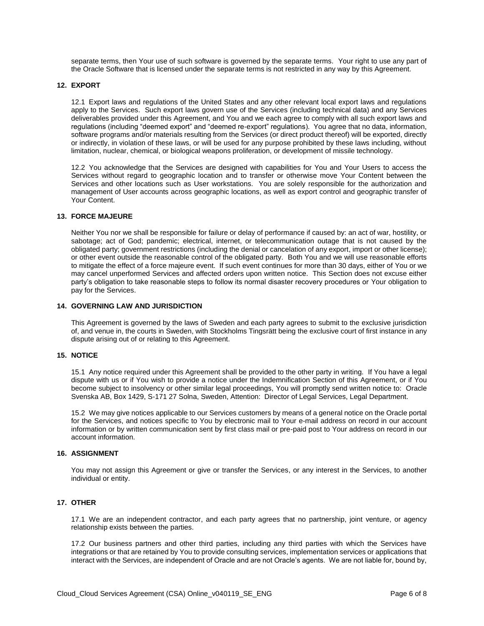separate terms, then Your use of such software is governed by the separate terms. Your right to use any part of the Oracle Software that is licensed under the separate terms is not restricted in any way by this Agreement.

#### **12. EXPORT**

12.1 Export laws and regulations of the United States and any other relevant local export laws and regulations apply to the Services. Such export laws govern use of the Services (including technical data) and any Services deliverables provided under this Agreement, and You and we each agree to comply with all such export laws and regulations (including "deemed export" and "deemed re-export" regulations). You agree that no data, information, software programs and/or materials resulting from the Services (or direct product thereof) will be exported, directly or indirectly, in violation of these laws, or will be used for any purpose prohibited by these laws including, without limitation, nuclear, chemical, or biological weapons proliferation, or development of missile technology.

12.2 You acknowledge that the Services are designed with capabilities for You and Your Users to access the Services without regard to geographic location and to transfer or otherwise move Your Content between the Services and other locations such as User workstations. You are solely responsible for the authorization and management of User accounts across geographic locations, as well as export control and geographic transfer of Your Content.

#### **13. FORCE MAJEURE**

Neither You nor we shall be responsible for failure or delay of performance if caused by: an act of war, hostility, or sabotage; act of God; pandemic; electrical, internet, or telecommunication outage that is not caused by the obligated party; government restrictions (including the denial or cancelation of any export, import or other license); or other event outside the reasonable control of the obligated party. Both You and we will use reasonable efforts to mitigate the effect of a force majeure event. If such event continues for more than 30 days, either of You or we may cancel unperformed Services and affected orders upon written notice. This Section does not excuse either party's obligation to take reasonable steps to follow its normal disaster recovery procedures or Your obligation to pay for the Services.

#### **14. GOVERNING LAW AND JURISDICTION**

This Agreement is governed by the laws of Sweden and each party agrees to submit to the exclusive jurisdiction of, and venue in, the courts in Sweden, with Stockholms Tingsrätt being the exclusive court of first instance in any dispute arising out of or relating to this Agreement.

# **15. NOTICE**

15.1 Any notice required under this Agreement shall be provided to the other party in writing. If You have a legal dispute with us or if You wish to provide a notice under the Indemnification Section of this Agreement, or if You become subject to insolvency or other similar legal proceedings, You will promptly send written notice to: Oracle Svenska AB, Box 1429, S-171 27 Solna, Sweden, Attention: Director of Legal Services, Legal Department.

15.2 We may give notices applicable to our Services customers by means of a general notice on the Oracle portal for the Services, and notices specific to You by electronic mail to Your e-mail address on record in our account information or by written communication sent by first class mail or pre-paid post to Your address on record in our account information.

#### **16. ASSIGNMENT**

You may not assign this Agreement or give or transfer the Services, or any interest in the Services, to another individual or entity.

# **17. OTHER**

17.1 We are an independent contractor, and each party agrees that no partnership, joint venture, or agency relationship exists between the parties.

17.2 Our business partners and other third parties, including any third parties with which the Services have integrations or that are retained by You to provide consulting services, implementation services or applications that interact with the Services, are independent of Oracle and are not Oracle's agents. We are not liable for, bound by,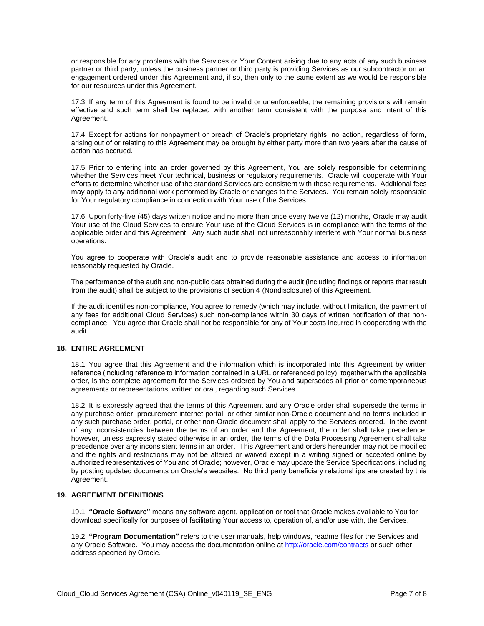or responsible for any problems with the Services or Your Content arising due to any acts of any such business partner or third party, unless the business partner or third party is providing Services as our subcontractor on an engagement ordered under this Agreement and, if so, then only to the same extent as we would be responsible for our resources under this Agreement.

17.3 If any term of this Agreement is found to be invalid or unenforceable, the remaining provisions will remain effective and such term shall be replaced with another term consistent with the purpose and intent of this Agreement.

17.4 Except for actions for nonpayment or breach of Oracle's proprietary rights, no action, regardless of form, arising out of or relating to this Agreement may be brought by either party more than two years after the cause of action has accrued.

17.5 Prior to entering into an order governed by this Agreement, You are solely responsible for determining whether the Services meet Your technical, business or regulatory requirements. Oracle will cooperate with Your efforts to determine whether use of the standard Services are consistent with those requirements. Additional fees may apply to any additional work performed by Oracle or changes to the Services. You remain solely responsible for Your regulatory compliance in connection with Your use of the Services.

17.6 Upon forty-five (45) days written notice and no more than once every twelve (12) months, Oracle may audit Your use of the Cloud Services to ensure Your use of the Cloud Services is in compliance with the terms of the applicable order and this Agreement. Any such audit shall not unreasonably interfere with Your normal business operations.

You agree to cooperate with Oracle's audit and to provide reasonable assistance and access to information reasonably requested by Oracle.

The performance of the audit and non-public data obtained during the audit (including findings or reports that result from the audit) shall be subject to the provisions of section 4 (Nondisclosure) of this Agreement.

If the audit identifies non-compliance, You agree to remedy (which may include, without limitation, the payment of any fees for additional Cloud Services) such non-compliance within 30 days of written notification of that noncompliance. You agree that Oracle shall not be responsible for any of Your costs incurred in cooperating with the audit.

# **18. ENTIRE AGREEMENT**

18.1 You agree that this Agreement and the information which is incorporated into this Agreement by written reference (including reference to information contained in a URL or referenced policy), together with the applicable order, is the complete agreement for the Services ordered by You and supersedes all prior or contemporaneous agreements or representations, written or oral, regarding such Services.

18.2 It is expressly agreed that the terms of this Agreement and any Oracle order shall supersede the terms in any purchase order, procurement internet portal, or other similar non-Oracle document and no terms included in any such purchase order, portal, or other non-Oracle document shall apply to the Services ordered. In the event of any inconsistencies between the terms of an order and the Agreement, the order shall take precedence; however, unless expressly stated otherwise in an order, the terms of the Data Processing Agreement shall take precedence over any inconsistent terms in an order. This Agreement and orders hereunder may not be modified and the rights and restrictions may not be altered or waived except in a writing signed or accepted online by authorized representatives of You and of Oracle; however, Oracle may update the Service Specifications, including by posting updated documents on Oracle's websites. No third party beneficiary relationships are created by this Agreement.

#### **19. AGREEMENT DEFINITIONS**

19.1 **"Oracle Software"** means any software agent, application or tool that Oracle makes available to You for download specifically for purposes of facilitating Your access to, operation of, and/or use with, the Services.

19.2 **"Program Documentation"** refers to the user manuals, help windows, readme files for the Services and any Oracle Software. You may access the documentation online a[t http://oracle.com/contracts](http://oracle.com/contracts) or such other address specified by Oracle.